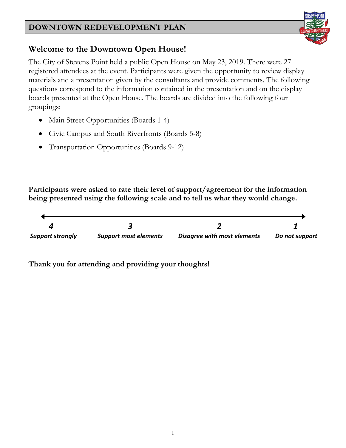

## **Welcome to the Downtown Open House!**

The City of Stevens Point held a public Open House on May 23, 2019. There were 27 registered attendees at the event. Participants were given the opportunity to review display materials and a presentation given by the consultants and provide comments. The following questions correspond to the information contained in the presentation and on the display boards presented at the Open House. The boards are divided into the following four groupings:

- Main Street Opportunities (Boards 1-4)
- Civic Campus and South Riverfronts (Boards 5-8)
- Transportation Opportunities (Boards 9-12)

**Participants were asked to rate their level of support/agreement for the information being presented using the following scale and to tell us what they would change.**

| <b>Support strongly</b> | <b>Support most elements</b> | Disagree with most elements | Do not support |
|-------------------------|------------------------------|-----------------------------|----------------|
|                         |                              |                             |                |

**Thank you for attending and providing your thoughts!**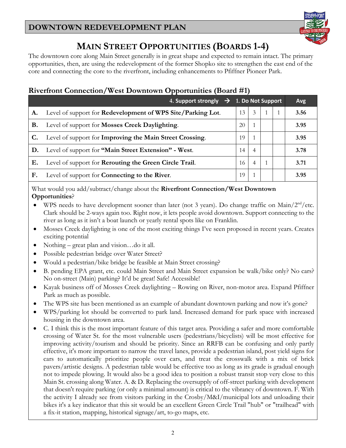

## **MAIN STREET OPPORTUNITIES (BOARDS 1-4)**

The downtown core along Main Street generally is in great shape and expected to remain intact. The primary opportunities, then, are using the redevelopment of the former Shopko site to strengthen the east end of the core and connecting the core to the riverfront, including enhancements to Pfiffner Pioneer Park.

## **Riverfront Connection/West Downtown Opportunities (Board #1)**

|    | 4. Support strongly<br>$\rightarrow$                          | 1. Do Not Support |               |  | <b>Avg</b> |
|----|---------------------------------------------------------------|-------------------|---------------|--|------------|
| A. | Level of support for Redevelopment of WPS Site/Parking Lot.   | 13                | $\mathcal{E}$ |  | 3.56       |
| В. | Level of support for <b>Mosses Creek Daylighting</b> .        | 20                |               |  | 3.95       |
|    | Level of support for Improving the Main Street Crossing.      | 19                |               |  | 3.95       |
| D. | Level of support for "Main Street Extension" - West.          | 14                | 4             |  | 3.78       |
| Е. | Level of support for <b>Rerouting the Green Circle Trail.</b> | 16                | 4             |  | 3.71       |
| F. | Level of support for <b>Connecting to the River</b> .         | 19                |               |  | 3.95       |

What would you add/subtract/change about the **Riverfront Connection/West Downtown Opportunities**?

- WPS needs to have development sooner than later (not 3 years). Do change traffic on Main/ $2<sup>nd</sup>/etc.$ Clark should be 2-ways again too. Right now, it lets people avoid downtown. Support connecting to the river as long as it isn't a boat launch or yearly rental spots like on Franklin.
- Mosses Creek daylighting is one of the most exciting things I've seen proposed in recent years. Creates exciting potential
- Nothing great plan and vision...do it all.
- Possible pedestrian bridge over Water Street?
- Would a pedestrian/bike bridge be feasible at Main Street crossing?
- B. pending EPA grant, etc. could Main Street and Main Street expansion be walk/bike only? No cars? No on-street (Main) parking? It'd be great! Safe! Accessible!
- Kayak business off of Mosses Creek daylighting Rowing on River, non-motor area. Expand Pfiffner Park as much as possible.
- The WPS site has been mentioned as an example of abundant downtown parking and now it's gone?
- WPS/parking lot should be converted to park land. Increased demand for park space with increased housing in the downtown area.
- C. I think this is the most important feature of this target area. Providing a safer and more comfortable crossing of Water St. for the most vulnerable users (pedestrians/bicyclists) will be most effective for improving activity/tourism and should be priority. Since an RRFB can be confusing and only partly effective, it's more important to narrow the travel lanes, provide a pedestrian island, post yield signs for cars to automatically prioritize people over cars, and treat the crosswalk with a mix of brick pavers/artistic designs. A pedestrian table would be effective too as long as its grade is gradual enough not to impede plowing. It would also be a good idea to position a robust transit stop very close to this Main St. crossing along Water. A. & D. Replacing the oversupply of off-street parking with development that doesn't require parking (or only a minimal amount) is critical to the vibrancy of downtown. F. With the activity I already see from visitors parking in the Crosby/M&I/municipal lots and unloading their bikes it's a key indicator that this sit would be an excellent Green Circle Trail "hub" or "trailhead" with a fix-it station, mapping, historical signage/art, to-go maps, etc.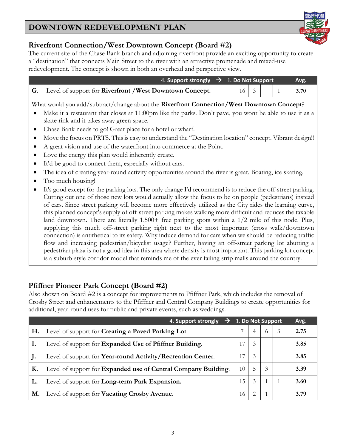## **Riverfront Connection/West Downtown Concept (Board #2)**

The current site of the Chase Bank branch and adjoining riverfront provide an exciting opportunity to create a "destination" that connects Main Street to the river with an attractive promenade and mixed-use redevelopment. The concept is shown in both an overhead and perspective view.

| 4. Support strongly $\rightarrow$ 1. Do Not Support                       |  | Avg. |  |  |                                                                       |
|---------------------------------------------------------------------------|--|------|--|--|-----------------------------------------------------------------------|
| <b>G.</b> Level of support for <b>Riverfront</b> / West Downtown Concept. |  |      |  |  | $\begin{array}{ c c c c c c c c } \hline 1 & 3.70 \hline \end{array}$ |

What would you add/subtract/change about the **Riverfront Connection/West Downtown Concept**?

- Make it a restaurant that closes at 11:00pm like the parks. Don't pave, you wont be able to use it as a skate rink and it takes away green space.
- Chase Bank needs to go! Great place for a hotel or wharf.
- Move the focus on PRTS. This is easy to understand the "Destination location" concept. Vibrant design!!
- A great vision and use of the waterfront into commerce at the Point.
- Love the energy this plan would inherently create.
- It'd be good to connect them, especially without cars.
- The idea of creating year-round activity opportunities around the river is great. Boating, ice skating.
- Too much housing!
- It's good except for the parking lots. The only change I'd recommend is to reduce the off-street parking. Cutting out one of those new lots would actually allow the focus to be on people (pedestrians) instead of cars. Since street parking will become more effectively utilized as the City rides the learning curve, this planned concept's supply of off-street parking makes walking more difficult and reduces the taxable land downtown. There are literally 1,500+ free parking spots within a 1/2 mile of this node. Plus, supplying this much off-street parking right next to the most important (cross walk/downtown connection) is antithetical to its safety. Why induce demand for cars when we should be reducing traffic flow and increasing pedestrian/bicyclist usage? Further, having an off-street parking lot abutting a pedestrian plaza is not a good idea in this area where density is most important. This parking lot concept is a suburb-style corridor model that reminds me of the ever failing strip malls around the country.

#### **Pfiffner Pioneer Park Concept (Board #2)**

Also shown on Board #2 is a concept for improvements to Pfiffner Park, which includes the removal of Crosby Street and enhancements to the Pfiffner and Central Company Buildings to create opportunities for additional, year-round uses for public and private events, such as weddings.

|           | 4. Support strongly<br>$\rightarrow$                                  | 1. Do Not Support |                                                                                                                                                                 |               |   | Avg. |
|-----------|-----------------------------------------------------------------------|-------------------|-----------------------------------------------------------------------------------------------------------------------------------------------------------------|---------------|---|------|
| Н.        | Level of support for Creating a Paved Parking Lot.                    |                   |                                                                                                                                                                 | $^{(1)}$      | 3 | 2.75 |
|           | Level of support for Expanded Use of Pfiffner Building.               | 17                | 3                                                                                                                                                               |               |   | 3.85 |
| J.        | Level of support for Year-round Activity/Recreation Center.           | 17                | 3                                                                                                                                                               |               |   | 3.85 |
| Κ.        | Level of support for <b>Expanded use of Central Company Building.</b> | 10                | 5                                                                                                                                                               | $\mathcal{E}$ |   | 3.39 |
|           | Level of support for Long-term Park Expansion.                        | 15                | 3                                                                                                                                                               |               |   | 3.60 |
| <b>M.</b> | Level of support for Vacating Crosby Avenue.                          | 16                | $\mathcal{D}_{\mathcal{L}}^{\mathcal{L}}(\mathcal{L})=\mathcal{L}_{\mathcal{L}}^{\mathcal{L}}(\mathcal{L})\mathcal{L}_{\mathcal{L}}^{\mathcal{L}}(\mathcal{L})$ |               |   | 3.79 |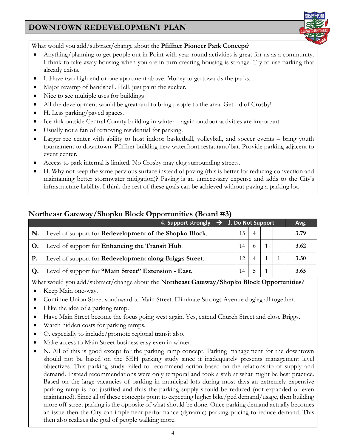

What would you add/subtract/change about the **Pfiffner Pioneer Park Concept**?

- Anything/planning to get people out in Point with year-round activities is great for us as a community. I think to take away housing when you are in turn creating housing is strange. Try to use parking that already exists.
- I. Have two high end or one apartment above. Money to go towards the parks.
- Major revamp of bandshell. Hell, just paint the sucker.
- Nice to see multiple uses for buildings
- All the development would be great and to bring people to the area. Get rid of Crosby!
- H. Less parking/paved spaces.
- Ice rink outside Central County building in winter again outdoor activities are important.
- Usually not a fan of removing residential for parking.
- Larger rec center with ability to host indoor basketball, volleyball, and soccer events bring youth tournament to downtown. Pfiffner building new waterfront restaurant/bar. Provide parking adjacent to event center.
- Access to park internal is limited. No Crosby may clog surrounding streets.
- H. Why not keep the same pervious surface instead of paving (this is better for reducing convection and maintaining better stormwater mitigation)? Paving is an unnecessary expense and adds to the City's infrastructure liability. I think the rest of these goals can be achieved without paving a parking lot.

## **Northeast Gateway/Shopko Block Opportunities (Board #3)**

|    | 4. Support strongly $\rightarrow$ 1. Do Not Support             |    |  | Avg. |
|----|-----------------------------------------------------------------|----|--|------|
| N. | Level of support for <b>Redevelopment of the Shopko Block</b> . | 15 |  | 3.79 |
| O. | Level of support for <b>Enhancing the Transit Hub.</b>          | 14 |  | 3.62 |
| Р. | Level of support for Redevelopment along Briggs Street.         | 12 |  | 3.50 |
| Q. | Level of support for "Main Street" Extension - East.            | 14 |  | 3.65 |

What would you add/subtract/change about the **Northeast Gateway/Shopko Block Opportunities**?

- Keep Main one-way.
- Continue Union Street southward to Main Street. Eliminate Strongs Avenue dogleg all together.
- I like the idea of a parking ramp.
- Have Main Street become the focus going west again. Yes, extend Church Street and close Briggs.
- Watch hidden costs for parking ramps.
- O. especially to include/promote regional transit also.
- Make access to Main Street business easy even in winter.
- N. All of this is good except for the parking ramp concept. Parking management for the downtown should not be based on the SEH parking study since it inadequately presents management level objectives. This parking study failed to recommend action based on the relationship of supply and demand. Instead recommendations were only temporal and took a stab at what might be best practice. Based on the large vacancies of parking in municipal lots during most days an extremely expensive parking ramp is not justified and thus the parking supply should be reduced (not expanded or even maintained). Since all of these concepts point to expecting higher bike/ped demand/usage, then building more off-street parking is the opposite of what should be done. Once parking demand actually becomes an issue then the City can implement performance (dynamic) parking pricing to reduce demand. This then also realizes the goal of people walking more.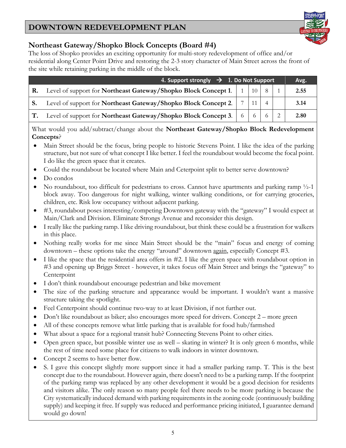#### **Northeast Gateway/Shopko Block Concepts (Board #4)**

The loss of Shopko provides an exciting opportunity for multi-story redevelopment of office and/or residential along Center Point Drive and restoring the 2-3 story character of Main Street across the front of the site while retaining parking in the middle of the block.

| 4. Support strongly $\rightarrow$ 1. Do Not Support |                                                                                                                    |  |  |  |  |      |  |  |
|-----------------------------------------------------|--------------------------------------------------------------------------------------------------------------------|--|--|--|--|------|--|--|
| <b>R.</b>                                           | Level of support for <b>Northeast Gateway/Shopko Block Concept 1.</b> $\begin{bmatrix} 1 & 1 & 10 \end{bmatrix}$ 8 |  |  |  |  | 2.55 |  |  |
|                                                     | Level of support for Northeast Gateway/Shopko Block Concept 2.                                                     |  |  |  |  | 3.14 |  |  |
|                                                     | Level of support for <b>Northeast Gateway/Shopko Block Concept 3.</b> 6 6 6                                        |  |  |  |  | 2.80 |  |  |

What would you add/subtract/change about the **Northeast Gateway/Shopko Block Redevelopment Concepts**?

- Main Street should be the focus, bring people to historic Stevens Point. I like the idea of the parking structure, but not sure of what concept I like better. I feel the roundabout would become the focal point. I do like the green space that it creates.
- Could the roundabout be located where Main and Ceterpoint split to better serve downtown?
- Do condos
- No roundabout, too difficult for pedestrians to cross. Cannot have apartments and parking ramp ½-1 block away. Too dangerous for night walking, winter walking conditions, or for carrying groceries, children, etc. Risk low occupancy without adjacent parking.
- #3, roundabout poses interesting/competing Downtown gateway with the "gateway" I would expect at Main/Clark and Division. Eliminate Strongs Avenue and reconsider this design.
- I really like the parking ramp. I like driving roundabout, but think these could be a frustration for walkers in this place.
- Nothing really works for me since Main Street should be the "main" focus and energy of coming downtown – these options take the energy "around" downtown again, especially Concept #3.
- I like the space that the residential area offers in #2. I like the green space with roundabout option in #3 and opening up Briggs Street - however, it takes focus off Main Street and brings the "gateway" to Centerpoint
- I don't think roundabout encourage pedestrian and bike movement
- The size of the parking structure and appearance would be important. I wouldn't want a massive structure taking the spotlight.
- Feel Centerpoint should continue two-way to at least Division, if not further out.
- Don't like roundabout as biker; also encourages more speed for drivers. Concept 2 more green
- All of these concepts remove what little parking that is available for food hub/farmshed
- What about a space for a regional transit hub? Connecting Stevens Point to other cities.
- Open green space, but possible winter use as well skating in winter? It is only green 6 months, while the rest of time need some place for citizens to walk indoors in winter downtown.
- Concept 2 seems to have better flow.
- S. I gave this concept slightly more support since it had a smaller parking ramp. T. This is the best concept due to the roundabout. However again, there doesn't need to be a parking ramp. If the footprint of the parking ramp was replaced by any other development it would be a good decision for residents and visitors alike. The only reason so many people feel there needs to be more parking is because the City systematically induced demand with parking requirements in the zoning code (continuously building supply) and keeping it free. If supply was reduced and performance pricing initiated, I guarantee demand would go down!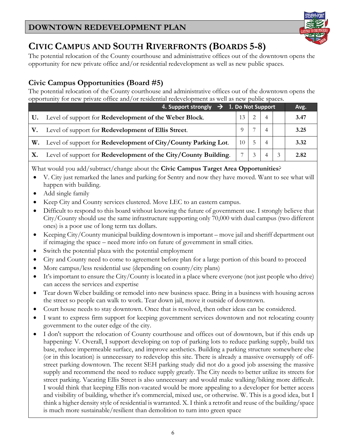

## **CIVIC CAMPUS AND SOUTH RIVERFRONTS (BOARDS 5-8)**

The potential relocation of the County courthouse and administrative offices out of the downtown opens the opportunity for new private office and/or residential redevelopment as well as new public spaces.

## **Civic Campus Opportunities (Board #5)**

The potential relocation of the County courthouse and administrative offices out of the downtown opens the opportunity for new private office and/or residential redevelopment as well as new public spaces.

| 4. Support strongly $\rightarrow$ 1. Do Not Support |                                                                 |                 |    |  |  |      |
|-----------------------------------------------------|-----------------------------------------------------------------|-----------------|----|--|--|------|
| <b>U.</b>                                           | Level of support for <b>Redevelopment of the Weber Block</b> .  |                 |    |  |  | 3.47 |
| V.                                                  | Level of support for <b>Redevelopment of Ellis Street</b> .     |                 |    |  |  | 3.25 |
| W.                                                  | Level of support for Redevelopment of City/County Parking Lot.  | 10 <sup>1</sup> | 5  |  |  | 3.32 |
| <b>X.</b>                                           | Level of support for Redevelopment of the City/County Building. |                 | -3 |  |  | 2.82 |

What would you add/subtract/change about the **Civic Campus Target Area Opportunities**?

- V. City just remarked the lanes and parking for Sentry and now they have moved. Want to see what will happen with building.
- Add single family
- Keep City and County services clustered. Move LEC to an eastern campus.
- Difficult to respond to this board without knowing the future of government use. I strongly believe that City/County should use the same infrastructure supporting only 70,000 with dual campus (two different ones) is a poor use of long term tax dollars.
- Keeping City/County municipal building downtown is important move jail and sheriff department out if reimaging the space – need more info on future of government in small cities.
- Switch the potential plaza with the potential employment
- City and County need to come to agreement before plan for a large portion of this board to proceed
- More campus/less residential use (depending on county/city plans)
- It's important to ensure the City/County is located in a place where everyone (not just people who drive) can access the services and expertise
- Tear down Weber building or remodel into new business space. Bring in a business with housing across the street so people can walk to work. Tear down jail, move it outside of downtown.
- Court house needs to stay downtown. Once that is resolved, then other ideas can be considered.
- I want to express firm support for keeping government services downtown and not relocating county government to the outer edge of the city.
- I don't support the relocation of County courthouse and offices out of downtown, but if this ends up happening: V. Overall, I support developing on top of parking lots to reduce parking supply, build tax base, reduce impermeable surface, and improve aesthetics. Building a parking structure somewhere else (or in this location) is unnecessary to redevelop this site. There is already a massive oversupply of offstreet parking downtown. The recent SEH parking study did not do a good job assessing the massive supply and recommend the need to reduce supply greatly. The City needs to better utilize its streets for street parking. Vacating Ellis Street is also unnecessary and would make walking/biking more difficult. I would think that keeping Ellis non-vacated would be more appealing to a developer for better access and visibility of building, whether it's commercial, mixed use, or otherwise. W. This is a good idea, but I think a higher density style of residential is warranted. X. I think a retrofit and reuse of the building/space is much more sustainable/resilient than demolition to turn into green space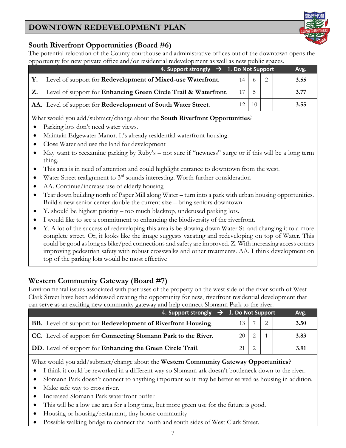#### **South Riverfront Opportunities (Board #6)**

The potential relocation of the County courthouse and administrative offices out of the downtown opens the opportunity for new private office and/or residential redevelopment as well as new public spaces.

| 4. Support strongly $\rightarrow$ 1. Do Not Support                |                 |     |  | Avg. |
|--------------------------------------------------------------------|-----------------|-----|--|------|
| Y. Level of support for Redevelopment of Mixed-use Waterfront.     | 14 <sup>1</sup> |     |  | 3.55 |
| Z. Level of support for Enhancing Green Circle Trail & Waterfront. |                 |     |  | 3.77 |
| AA. Level of support for Redevelopment of South Water Street.      | 12 <sup>1</sup> | -10 |  | 3.55 |

What would you add/subtract/change about the **South Riverfront Opportunities**?

- Parking lots don't need water views.
- Maintain Edgewater Manor. It's already residential waterfront housing.
- Close Water and use the land for development
- May want to reexamine parking by Ruby's not sure if "newness" surge or if this will be a long term thing.
- This area is in need of attention and could highlight entrance to downtown from the west.
- Water Street realignment to  $3<sup>rd</sup>$  sounds interesting. Worth further consideration
- AA. Continue/increase use of elderly housing
- Tear down building north of Paper Mill along Water turn into a park with urban housing opportunities. Build a new senior center double the current size – bring seniors downtown.
- Y. should be highest priority too much blacktop, underused parking lots.
- I would like to see a commitment to enhancing the biodiversity of the riverfront.
- Y. A lot of the success of redeveloping this area is be slowing down Water St. and changing it to a more complete street. Or, it looks like the image suggests vacating and redeveloping on top of Water. This could be good as long as bike/ped connections and safety are improved. Z. With increasing access comes improving pedestrian safety with robust crosswalks and other treatments. AA. I think development on top of the parking lots would be most effective

#### **Western Community Gateway (Board #7)**

Environmental issues associated with past uses of the property on the west side of the river south of West Clark Street have been addressed creating the opportunity for new, riverfront residential development that can serve as an exciting new community gateway and help connect Slomann Park to the river.

| 4. Support strongly $\rightarrow$ 1. Do Not Support                          |                 | Avg. |  |      |
|------------------------------------------------------------------------------|-----------------|------|--|------|
| <b>BB.</b> Level of support for <b>Redevelopment of Riverfront Housing.</b>  | 13              |      |  | 3.50 |
| <b>CC.</b> Level of support for <b>Connecting Slomann Park to the River.</b> | 20 <sup>1</sup> |      |  | 3.83 |
| DD. Level of support for Enhancing the Green Circle Trail.                   | 21              |      |  | 3.91 |

What would you add/subtract/change about the **Western Community Gateway Opportunities**?

- I think it could be reworked in a different way so Slomann ark doesn't bottleneck down to the river.
- Slomann Park doesn't connect to anything important so it may be better served as housing in addition.
- Make safe way to cross river.
- Increased Slomann Park waterfront buffer
- This will be a low use area for a long time, but more green use for the future is good.
- Housing or housing/restaurant, tiny house community
- Possible walking bridge to connect the north and south sides of West Clark Street.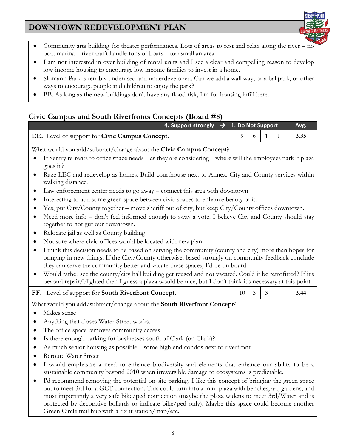

- Community arts building for theater performances. Lots of areas to rest and relax along the river no boat marina – river can't handle tons of boats – too small an area.
- I am not interested in over building of rental units and I see a clear and compelling reason to develop low-income housing to encourage low income families to invest in a home.
- Slomann Park is terribly underused and underdeveloped. Can we add a walkway, or a ballpark, or other ways to encourage people and children to enjoy the park?
- BB. As long as the new buildings don't have any flood risk, I'm for housing infill here.

## **Civic Campus and South Riverfronts Concepts (Board #8)**

| 4. Support strongly $\rightarrow$ 1. Do Not Support                                                                                                                                                                                                                                                                                                                                                                                                                                                                                                                                                     |    |   |   |   | Avg. |  |  |  |  |
|---------------------------------------------------------------------------------------------------------------------------------------------------------------------------------------------------------------------------------------------------------------------------------------------------------------------------------------------------------------------------------------------------------------------------------------------------------------------------------------------------------------------------------------------------------------------------------------------------------|----|---|---|---|------|--|--|--|--|
| EE. Level of support for Civic Campus Concept.                                                                                                                                                                                                                                                                                                                                                                                                                                                                                                                                                          | 9  | 6 | 1 | 1 | 3.35 |  |  |  |  |
| What would you add/subtract/change about the Civic Campus Concept?<br>If Sentry re-rents to office space needs – as they are considering – where will the employees park if plaza                                                                                                                                                                                                                                                                                                                                                                                                                       |    |   |   |   |      |  |  |  |  |
| goes in?<br>Raze LEC and redevelop as homes. Build courthouse next to Annex. City and County services within<br>walking distance.                                                                                                                                                                                                                                                                                                                                                                                                                                                                       |    |   |   |   |      |  |  |  |  |
| Law enforcement center needs to go away – connect this area with downtown<br>$\bullet$                                                                                                                                                                                                                                                                                                                                                                                                                                                                                                                  |    |   |   |   |      |  |  |  |  |
| Interesting to add some green space between civic spaces to enhance beauty of it.<br>$\bullet$<br>Yes, put City/County together – move sheriff out of city, but keep City/County offices downtown.                                                                                                                                                                                                                                                                                                                                                                                                      |    |   |   |   |      |  |  |  |  |
| Need more info - don't feel informed enough to sway a vote. I believe City and County should stay<br>$\bullet$<br>together to not gut our downtown.                                                                                                                                                                                                                                                                                                                                                                                                                                                     |    |   |   |   |      |  |  |  |  |
| Relocate jail as well as County building                                                                                                                                                                                                                                                                                                                                                                                                                                                                                                                                                                |    |   |   |   |      |  |  |  |  |
| Not sure where civic offices would be located with new plan.<br>I think this decision needs to be based on serving the community (county and city) more than hopes for<br>$\bullet$<br>bringing in new things. If the City/County otherwise, based strongly on community feedback conclude<br>they can serve the community better and vacate these spaces, I'd be on board.<br>Would rather see the county/city hall building get reused and not vacated. Could it be retrofitted? If it's<br>beyond repair/blighted then I guess a plaza would be nice, but I don't think it's necessary at this point |    |   |   |   |      |  |  |  |  |
| FF. Level of support for South Riverfront Concept.                                                                                                                                                                                                                                                                                                                                                                                                                                                                                                                                                      | 10 | 3 | 3 |   | 3.44 |  |  |  |  |
| What would you add/subtract/change about the South Riverfront Concept?                                                                                                                                                                                                                                                                                                                                                                                                                                                                                                                                  |    |   |   |   |      |  |  |  |  |
| Makes sense                                                                                                                                                                                                                                                                                                                                                                                                                                                                                                                                                                                             |    |   |   |   |      |  |  |  |  |
| Anything that closes Water Street works.<br>٠                                                                                                                                                                                                                                                                                                                                                                                                                                                                                                                                                           |    |   |   |   |      |  |  |  |  |
| The office space removes community access<br>$\bullet$                                                                                                                                                                                                                                                                                                                                                                                                                                                                                                                                                  |    |   |   |   |      |  |  |  |  |
| Is there enough parking for businesses south of Clark (on Clark)?<br>٠                                                                                                                                                                                                                                                                                                                                                                                                                                                                                                                                  |    |   |   |   |      |  |  |  |  |
| As much senior housing as possible – some high end condos next to riverfront.<br>$\bullet$                                                                                                                                                                                                                                                                                                                                                                                                                                                                                                              |    |   |   |   |      |  |  |  |  |
| <b>Reroute Water Street</b>                                                                                                                                                                                                                                                                                                                                                                                                                                                                                                                                                                             |    |   |   |   |      |  |  |  |  |
| I would emphasize a need to enhance biodiversity and elements that enhance our ability to be a<br>$\bullet$<br>sustainable community beyond 2010 when irreversible damage to ecosystems is predictable.                                                                                                                                                                                                                                                                                                                                                                                                 |    |   |   |   |      |  |  |  |  |
| I'd recommend removing the potential on-site parking. I like this concept of bringing the green space                                                                                                                                                                                                                                                                                                                                                                                                                                                                                                   |    |   |   |   |      |  |  |  |  |

out to meet 3rd for a GCT connection. This could turn into a mini-plaza with benches, art, gardens, and most importantly a very safe bike/ped connection (maybe the plaza widens to meet 3rd/Water and is protected by decorative bollards to indicate bike/ped only). Maybe this space could become another Green Circle trail hub with a fix-it station/map/etc.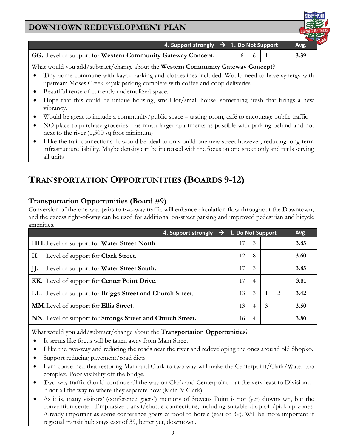| <b>DOWNTOWN REDEVELOPMENT PLAN</b>                          |      |  |
|-------------------------------------------------------------|------|--|
|                                                             |      |  |
| 4. Support strongly $\rightarrow$ 1. Do Not Support         | Avg. |  |
| GG. Level of support for Western Community Gateway Concept. | 3.39 |  |

What would you add/subtract/change about the **Western Community Gateway Concept**?

- Tiny home commune with kayak parking and clotheslines included. Would need to have synergy with upstream Moses Creek kayak parking complete with coffee and coop deliveries.
- Beautiful reuse of currently underutilized space.
- Hope that this could be unique housing, small lot/small house, something fresh that brings a new vibrancy.
- Would be great to include a community/public space tasting room, café to encourage public traffic
- NO place to purchase groceries as much larger apartments as possible with parking behind and not next to the river (1,500 sq foot minimum)
- I like the trail connections. It would be ideal to only build one new street however, reducing long-term infrastructure liability. Maybe density can be increased with the focus on one street only and trails serving all units

# **TRANSPORTATION OPPORTUNITIES (BOARDS 9-12)**

#### **Transportation Opportunities (Board #9)**

Conversion of the one-way pairs to two-way traffic will enhance circulation flow throughout the Downtown, and the excess right-of-way can be used for additional on-street parking and improved pedestrian and bicycle amenities.

| 4. Support strongly $\rightarrow$ 1. Do Not Support         |     |                |               |               | Avg. |
|-------------------------------------------------------------|-----|----------------|---------------|---------------|------|
| <b>HH.</b> Level of support for <b>Water Street North</b> . | 17  | $\mathcal{E}$  |               |               | 3.85 |
| Н.<br>Level of support for <b>Clark Street</b> .            | 12. | 8              |               |               | 3.60 |
| Level of support for Water Street South.<br>JJ.             | 17  | $\mathcal{E}$  |               |               | 3.85 |
| KK. Level of support for Center Point Drive.                | 17  | 4              |               |               | 3.81 |
| LL. Level of support for Briggs Street and Church Street.   | 13  | $\mathcal{E}$  |               | $\mathcal{L}$ | 3.42 |
| MM. Level of support for Ellis Street.                      | 13  | $\overline{4}$ | $\mathcal{E}$ |               | 3.50 |
| NN. Level of support for Strongs Street and Church Street.  | 16  | 4              |               |               | 3.80 |

What would you add/subtract/change about the **Transportation Opportunities**?

- It seems like focus will be taken away from Main Street.
- I like the two-way and reducing the roads near the river and redeveloping the ones around old Shopko.
- Support reducing pavement/road diets
- I am concerned that restoring Main and Clark to two-way will make the Centerpoint/Clark/Water too complex. Poor visibility off the bridge.
- Two-way traffic should continue all the way on Clark and Centerpoint at the very least to Division… if not all the way to where they separate now (Main & Clark)
- As it is, many visitors' (conference goers') memory of Stevens Point is not (yet) downtown, but the convention center. Emphasize transit/shuttle connections, including suitable drop-off/pick-up zones. Already important as some conference-goers carpool to hotels (east of 39). Will be more important if regional transit hub stays east of 39, better yet, downtown.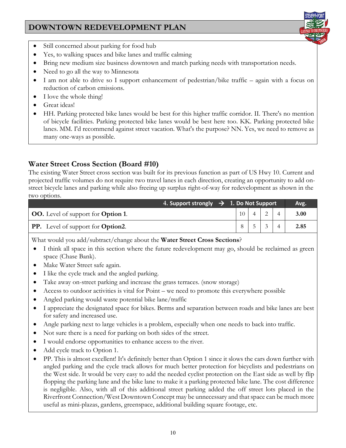- Still concerned about parking for food hub
- Yes, to walking spaces and bike lanes and traffic calming
- Bring new medium size business downtown and match parking needs with transportation needs.
- Need to go all the way to Minnesota
- I am not able to drive so I support enhancement of pedestrian/bike traffic again with a focus on reduction of carbon emissions.
- I love the whole thing!
- Great ideas!
- HH. Parking protected bike lanes would be best for this higher traffic corridor. II. There's no mention of bicycle facilities. Parking protected bike lanes would be best here too. KK. Parking protected bike lanes. MM. I'd recommend against street vacation. What's the purpose? NN. Yes, we need to remove as many one-ways as possible.

## **Water Street Cross Section (Board #10)**

The existing Water Street cross section was built for its previous function as part of US Hwy 10. Current and projected traffic volumes do not require two travel lanes in each direction, creating an opportunity to add onstreet bicycle lanes and parking while also freeing up surplus right-of-way for redevelopment as shown in the two options.

|                                                  | $\frac{1}{2}$ 4. Support strongly $\rightarrow$ 1. Do Not Support |    |  |  |  |      |
|--------------------------------------------------|-------------------------------------------------------------------|----|--|--|--|------|
| <b>OO.</b> Level of support for <b>Option 1.</b> |                                                                   | 10 |  |  |  | 3.00 |
| <b>PP.</b> Level of support for <b>Option2</b> . |                                                                   |    |  |  |  | 2.85 |

What would you add/subtract/change about the **Water Street Cross Sections**?

- I think all space in this section where the future redevelopment may go, should be reclaimed as green space (Chase Bank).
- Make Water Street safe again.
- I like the cycle track and the angled parking.
- Take away on-street parking and increase the grass terraces. (snow storage)
- Access to outdoor activities is vital for Point we need to promote this everywhere possible
- Angled parking would waste potential bike lane/traffic
- I appreciate the designated space for bikes. Berms and separation between roads and bike lanes are best for safety and increased use.
- Angle parking next to large vehicles is a problem, especially when one needs to back into traffic.
- Not sure there is a need for parking on both sides of the street.
- I would endorse opportunities to enhance access to the river.
- Add cycle track to Option 1.
- PP. This is almost excellent! It's definitely better than Option 1 since it slows the cars down further with angled parking and the cycle track allows for much better protection for bicyclists and pedestrians on the West side. It would be very easy to add the needed cyclist protection on the East side as well by flip flopping the parking lane and the bike lane to make it a parking protected bike lane. The cost difference is negligible. Also, with all of this additional street parking added the off street lots placed in the Riverfront Connection/West Downtown Concept may be unnecessary and that space can be much more useful as mini-plazas, gardens, greenspace, additional building square footage, etc.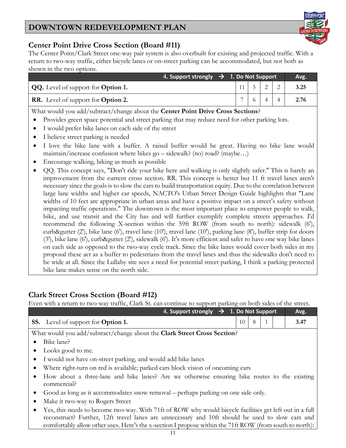

#### **Center Point Drive Cross Section (Board #11)**

The Center Point/Clark Street one-way pair system is also overbuilt for existing and projected traffic. With a return to two-way traffic, either bicycle lanes or on-street parking can be accommodated, but not both as shown in the two options.

|                                                  | 4. Support strongly $\rightarrow$ 1. Do Not Support | Avg. |  |        |
|--------------------------------------------------|-----------------------------------------------------|------|--|--------|
| <b>QQ.</b> Level of support for <b>Option 1.</b> |                                                     |      |  | 2 3.25 |
| <b>RR.</b> Level of support for <b>Option 2.</b> |                                                     |      |  | 2.76   |

What would you add/subtract/change about the **Center Point Drive Cross Sections**?

- Provides green space potential and street parking that may reduce need for other parking lots.
- I would prefer bike lanes on each side of the street
- I believe street parking is needed
- I love the bike lane with a buffer. A raised buffer would be great. Having no bike lane would maintain/increase confusion where bikes go – sidewalk? (no) road? (maybe…)
- Encourage walking, biking as much as possible
- QQ. This concept says, "Don't ride your bike here and walking is only slightly safer." This is barely an improvement from the current cross section. RR. This concept is better but 11 ft travel lanes aren't necessary since the goals is to slow the cars to build transportation equity. Due to the correlation between large lane widths and higher car speeds, NACTO's Urban Street Design Guide highlights that "Lane widths of 10 feet are appropriate in urban areas and have a positive impact on a street's safety without impacting traffic operations." The downtown is the most important place to empower people to walk, bike, and use transit and the City has and will further exemplify complete streets approaches. I'd recommend the following X-section within the 59ft ROW (from south to north): sidewalk (6'), curb&gutter (2'), bike lane (6'), travel lane (10'), travel lane (10'), parking lane (8'), buffer strip for doors (3'), bike lane (6'), curb&gutter (2'), sidewalk (6'). It's more efficient and safer to have one way bike lanes on each side as opposed to the two-way cycle track. Since the bike lanes would cover both sides in my proposal these act as a buffer to pedestrians from the travel lanes and thus the sidewalks don't need to be wide at all. Since the Lullaby site sees a need for potential street parking, I think a parking protected bike lane makes sense on the north side.

#### **Clark Street Cross Section (Board #12)**

Even with a return to two-way traffic, Clark St. can continue to support parking on both sides of the street.

| 4. Support strongly $\rightarrow$ 1. Do Not Support                                          |    |   |  |  | Avg. |  |
|----------------------------------------------------------------------------------------------|----|---|--|--|------|--|
| <b>SS.</b> Level of support for <b>Option 1.</b>                                             | 10 | 8 |  |  | 3.47 |  |
| What would you add/subtract/change about the Clark Street Cross Section?                     |    |   |  |  |      |  |
| Bike lane?                                                                                   |    |   |  |  |      |  |
| • Looks good to me.                                                                          |    |   |  |  |      |  |
| • I would not have on-street parking, and would add bike lanes                               |    |   |  |  |      |  |
| • Where right-turn on red is available; parked cars block vision of oncoming cars            |    |   |  |  |      |  |
| How about a three-lane and bike lanes? Are we otherwise ensuring bike routes to the existing |    |   |  |  |      |  |
| commercial?                                                                                  |    |   |  |  |      |  |

- Good as long as it accommodates snow removal perhaps parking on one side only.
- Make it two-way to Rogers Street
- Yes, this needs to become two-way. With 71ft of ROW why would bicycle facilities get left out in a full reconstruct? Further, 12ft travel lanes are unnecessary and 10ft should be used to slow cars and comfortably allow other uses. Here's the x-section I propose within the 71ft ROW (from south to north):